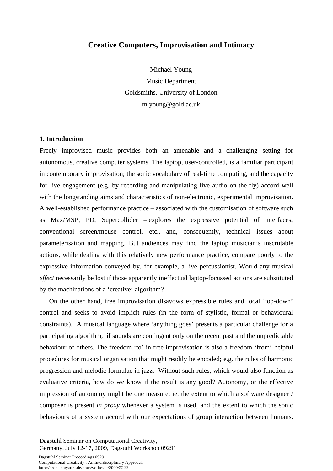# **Creative Computers, Improvisation and Intimacy**

Michael Young Music Department Goldsmiths, University of London m.young@gold.ac.uk

# **1. Introduction**

Freely improvised music provides both an amenable and a challenging setting for autonomous, creative computer systems. The laptop, user-controlled, is a familiar participant in contemporary improvisation; the sonic vocabulary of real-time computing, and the capacity for live engagement (e.g. by recording and manipulating live audio on-the-fly) accord well with the longstanding aims and characteristics of non-electronic, experimental improvisation. A well-established performance practice – associated with the customisation of software such as Max/MSP, PD, Supercollider – explores the expressive potential of interfaces, conventional screen/mouse control, etc., and, consequently, technical issues about parameterisation and mapping. But audiences may find the laptop musician's inscrutable actions, while dealing with this relatively new performance practice, compare poorly to the expressive information conveyed by, for example, a live percussionist. Would any musical *effect* necessarily be lost if those apparently ineffectual laptop-focussed actions are substituted by the machinations of a 'creative' algorithm?

On the other hand, free improvisation disavows expressible rules and local 'top-down' control and seeks to avoid implicit rules (in the form of stylistic, formal or behavioural constraints). A musical language where 'anything goes' presents a particular challenge for a participating algorithm, if sounds are contingent only on the recent past and the unpredictable behaviour of others. The freedom 'to' in free improvisation is also a freedom 'from' helpful procedures for musical organisation that might readily be encoded; e.g. the rules of harmonic progression and melodic formulae in jazz. Without such rules, which would also function as evaluative criteria, how do we know if the result is any good? Autonomy, or the effective impression of autonomy might be one measure: ie. the extent to which a software designer / composer is present *in proxy* whenever a system is used, and the extent to which the sonic behaviours of a system accord with our expectations of group interaction between humans.

Dagstuhl Seminar on Computational Creativity, Germany, July 12-17, 2009, Dagstuhl Workshop 09291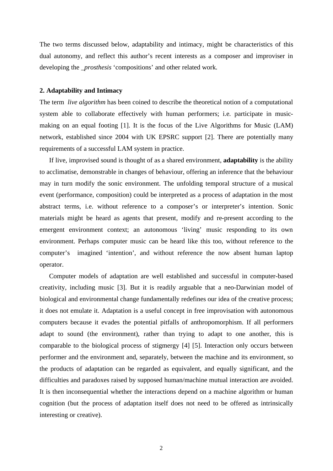The two terms discussed below, adaptability and intimacy, might be characteristics of this dual autonomy, and reflect this author's recent interests as a composer and improviser in developing the *\_prosthesis* 'compositions' and other related work.

### **2. Adaptability and Intimacy**

The term *live algorithm* has been coined to describe the theoretical notion of a computational system able to collaborate effectively with human performers; i.e. participate in musicmaking on an equal footing [1]. It is the focus of the Live Algorithms for Music (LAM) network, established since 2004 with UK EPSRC support [2]. There are potentially many requirements of a successful LAM system in practice.

If live, improvised sound is thought of as a shared environment, **adaptability** is the ability to acclimatise, demonstrable in changes of behaviour, offering an inference that the behaviour may in turn modify the sonic environment. The unfolding temporal structure of a musical event (performance, composition) could be interpreted as a process of adaptation in the most abstract terms, i.e. without reference to a composer's or interpreter's intention. Sonic materials might be heard as agents that present, modify and re-present according to the emergent environment context; an autonomous 'living' music responding to its own environment. Perhaps computer music can be heard like this too, without reference to the computer's imagined 'intention', and without reference the now absent human laptop operator.

Computer models of adaptation are well established and successful in computer-based creativity, including music [3]. But it is readily arguable that a neo-Darwinian model of biological and environmental change fundamentally redefines our idea of the creative process; it does not emulate it. Adaptation is a useful concept in free improvisation with autonomous computers because it evades the potential pitfalls of anthropomorphism. If all performers adapt to sound (the environment), rather than trying to adapt to one another, this is comparable to the biological process of stigmergy [4] [5]. Interaction only occurs between performer and the environment and, separately, between the machine and its environment, so the products of adaptation can be regarded as equivalent, and equally significant, and the difficulties and paradoxes raised by supposed human/machine mutual interaction are avoided. It is then inconsequential whether the interactions depend on a machine algorithm or human cognition (but the process of adaptation itself does not need to be offered as intrinsically interesting or creative).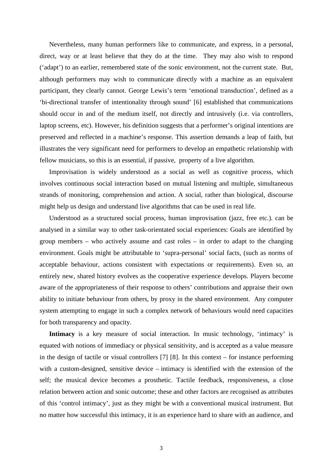Nevertheless, many human performers like to communicate, and express, in a personal, direct, way or at least believe that they do at the time. They may also wish to respond ('adapt') to an earlier, remembered state of the sonic environment, not the current state. But, although performers may wish to communicate directly with a machine as an equivalent participant, they clearly cannot. George Lewis's term 'emotional transduction', defined as a 'bi-directional transfer of intentionality through sound' [6] established that communications should occur in and of the medium itself, not directly and intrusively (i.e. via controllers, laptop screens, etc). However, his definition suggests that a performer's original intentions are preserved and reflected in a machine's response. This assertion demands a leap of faith, but illustrates the very significant need for performers to develop an empathetic relationship with fellow musicians, so this is an essential, if passive, property of a live algorithm.

Improvisation is widely understood as a social as well as cognitive process, which involves continuous social interaction based on mutual listening and multiple, simultaneous strands of monitoring, comprehension and action. A social, rather than biological, discourse might help us design and understand live algorithms that can be used in real life.

Understood as a structured social process, human improvisation (jazz, free etc.). can be analysed in a similar way to other task-orientated social experiences: Goals are identified by group members – who actively assume and cast roles – in order to adapt to the changing environment. Goals might be attributable to 'supra-personal' social facts, (such as norms of acceptable behaviour, actions consistent with expectations or requirements). Even so, an entirely new, shared history evolves as the cooperative experience develops. Players become aware of the appropriateness of their response to others' contributions and appraise their own ability to initiate behaviour from others, by proxy in the shared environment. Any computer system attempting to engage in such a complex network of behaviours would need capacities for both transparency and opacity.

**Intimacy** is a key measure of social interaction. In music technology, 'intimacy' is equated with notions of immediacy or physical sensitivity, and is accepted as a value measure in the design of tactile or visual controllers [7] [8]. In this context – for instance performing with a custom-designed, sensitive device – intimacy is identified with the extension of the self; the musical device becomes a prosthetic. Tactile feedback, responsiveness, a close relation between action and sonic outcome; these and other factors are recognised as attributes of this 'control intimacy', just as they might be with a conventional musical instrument. But no matter how successful this intimacy, it is an experience hard to share with an audience, and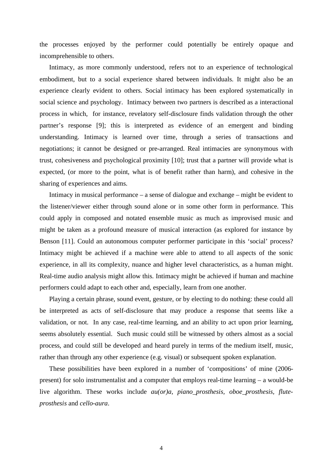the processes enjoyed by the performer could potentially be entirely opaque and incomprehensible to others.

Intimacy, as more commonly understood, refers not to an experience of technological embodiment, but to a social experience shared between individuals. It might also be an experience clearly evident to others. Social intimacy has been explored systematically in social science and psychology. Intimacy between two partners is described as a interactional process in which, for instance, revelatory self-disclosure finds validation through the other partner's response [9]; this is interpreted as evidence of an emergent and binding understanding. Intimacy is learned over time, through a series of transactions and negotiations; it cannot be designed or pre-arranged. Real intimacies are synonymous with trust, cohesiveness and psychological proximity [10]; trust that a partner will provide what is expected, (or more to the point, what is of benefit rather than harm), and cohesive in the sharing of experiences and aims.

Intimacy in musical performance – a sense of dialogue and exchange – might be evident to the listener/viewer either through sound alone or in some other form in performance. This could apply in composed and notated ensemble music as much as improvised music and might be taken as a profound measure of musical interaction (as explored for instance by Benson [11]. Could an autonomous computer performer participate in this 'social' process? Intimacy might be achieved if a machine were able to attend to all aspects of the sonic experience, in all its complexity, nuance and higher level characteristics, as a human might. Real-time audio analysis might allow this. Intimacy might be achieved if human and machine performers could adapt to each other and, especially, learn from one another.

Playing a certain phrase, sound event, gesture, or by electing to do nothing: these could all be interpreted as acts of self-disclosure that may produce a response that seems like a validation, or not. In any case, real-time learning, and an ability to act upon prior learning, seems absolutely essential. Such music could still be witnessed by others almost as a social process, and could still be developed and heard purely in terms of the medium itself, music, rather than through any other experience (e.g. visual) or subsequent spoken explanation.

These possibilities have been explored in a number of 'compositions' of mine (2006 present) for solo instrumentalist and a computer that employs real-time learning – a would-be live algorithm. These works include *au(or)a, piano\_prosthesis, oboe\_prosthesis, fluteprosthesis* and *cello-aura*.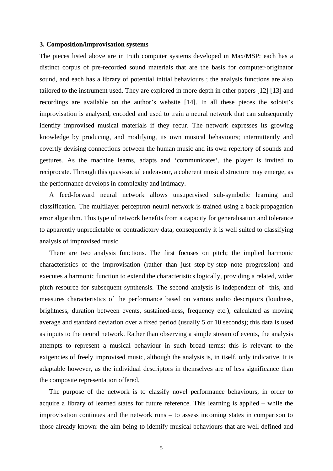### **3. Composition/improvisation systems**

The pieces listed above are in truth computer systems developed in Max/MSP; each has a distinct corpus of pre-recorded sound materials that are the basis for computer-originator sound, and each has a library of potential initial behaviours ; the analysis functions are also tailored to the instrument used. They are explored in more depth in other papers [12] [13] and recordings are available on the author's website [14]. In all these pieces the soloist's improvisation is analysed, encoded and used to train a neural network that can subsequently identify improvised musical materials if they recur. The network expresses its growing knowledge by producing, and modifying, its own musical behaviours; intermittently and covertly devising connections between the human music and its own repertory of sounds and gestures. As the machine learns, adapts and 'communicates', the player is invited to reciprocate. Through this quasi-social endeavour, a coherent musical structure may emerge, as the performance develops in complexity and intimacy.

A feed-forward neural network allows unsupervised sub-symbolic learning and classification. The multilayer perceptron neural network is trained using a back-propagation error algorithm. This type of network benefits from a capacity for generalisation and tolerance to apparently unpredictable or contradictory data; consequently it is well suited to classifying analysis of improvised music.

There are two analysis functions. The first focuses on pitch; the implied harmonic characteristics of the improvisation (rather than just step-by-step note progression) and executes a harmonic function to extend the characteristics logically, providing a related, wider pitch resource for subsequent synthensis. The second analysis is independent of this, and measures characteristics of the performance based on various audio descriptors (loudness, brightness, duration between events, sustained-ness, frequency etc.), calculated as moving average and standard deviation over a fixed period (usually 5 or 10 seconds); this data is used as inputs to the neural network. Rather than observing a simple stream of events, the analysis attempts to represent a musical behaviour in such broad terms: this is relevant to the exigencies of freely improvised music, although the analysis is, in itself, only indicative. It is adaptable however, as the individual descriptors in themselves are of less significance than the composite representation offered.

The purpose of the network is to classify novel performance behaviours, in order to acquire a library of learned states for future reference. This learning is applied – while the improvisation continues and the network runs – to assess incoming states in comparison to those already known: the aim being to identify musical behaviours that are well defined and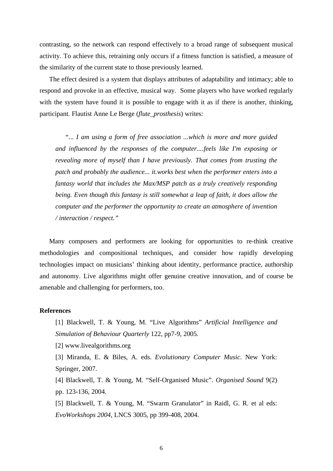contrasting, so the network can respond effectively to a broad range of subsequent musical activity. To achieve this, retraining only occurs if a fitness function is satisfied, a measure of the similarity of the current state to those previously learned.

The effect desired is a system that displays attributes of adaptability and intimacy; able to respond and provoke in an effective, musical way. Some players who have worked regularly with the system have found it is possible to engage with it as if there is another, thinking, participant. Flautist Anne Le Berge (*flute\_prosthesis*) writes:

*"... I am using a form of free association ...which is more and more guided and influenced by the responses of the computer....feels like I'm exposing or revealing more of myself than I have previously. That comes from trusting the patch and probably the audience... it.works best when the performer enters into a fantasy world that includes the Max/MSP patch as a truly creatively responding being. Even though this fantasy is still somewhat a leap of faith, it does allow the computer and the performer the opportunity to create an atmosphere of invention / interaction / respect."*

Many composers and performers are looking for opportunities to re-think creative methodologies and compositional techniques, and consider how rapidly developing technologies impact on musicians' thinking about identity, performance practice, authorship and autonomy. Live algorithms might offer genuine creative innovation, and of course be amenable and challenging for performers, too.

### **References**

[1] Blackwell, T. & Young, M. "Live Algorithms" *Artificial Intelligence and Simulation of Behaviour Quarterly* 122, pp7-9, 2005.

[2] www.livealgorithms.org

[3] Miranda, E. & Biles, A. eds. *Evolutionary Computer Music*. New York: Springer, 2007.

[4] Blackwell, T. & Young, M. "Self-Organised Music". *Organised Sound* 9(2) pp. 123-136, 2004.

[5] Blackwell, T. & Young, M. "Swarm Granulator" in Raidl, G. R. et al eds: *EvoWorkshops 2004,* LNCS 3005, pp 399-408, 2004.